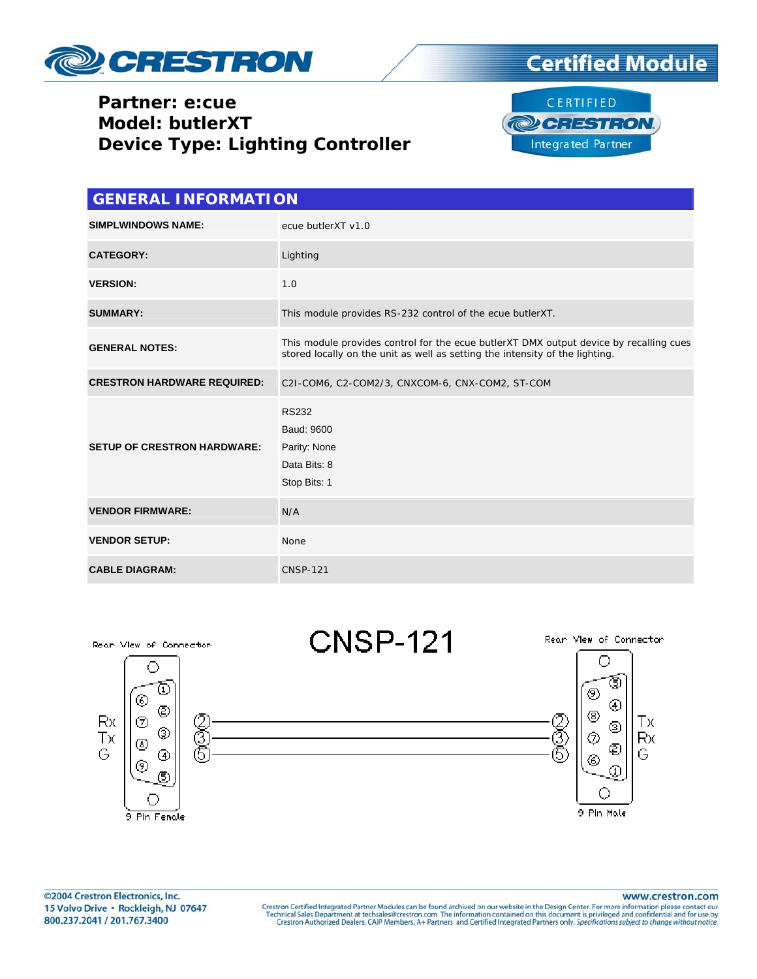

## **Partner: e:cue Model: butlerXT Device Type: Lighting Controller**



**Integrated Partner** 

| <b>GENERAL INFORMATION</b>         |                                                                                                                                                                        |  |  |  |
|------------------------------------|------------------------------------------------------------------------------------------------------------------------------------------------------------------------|--|--|--|
| <b>SIMPLWINDOWS NAME:</b>          | ecue butlerXT v1.0                                                                                                                                                     |  |  |  |
| <b>CATEGORY:</b>                   | Lighting                                                                                                                                                               |  |  |  |
| <b>VERSION:</b>                    | 1.0                                                                                                                                                                    |  |  |  |
| <b>SUMMARY:</b>                    | This module provides RS-232 control of the ecue butlerXT.                                                                                                              |  |  |  |
| <b>GENERAL NOTES:</b>              | This module provides control for the ecue butlerXT DMX output device by recalling cues<br>stored locally on the unit as well as setting the intensity of the lighting. |  |  |  |
| <b>CRESTRON HARDWARE REQUIRED:</b> | C2I-COM6, C2-COM2/3, CNXCOM-6, CNX-COM2, ST-COM                                                                                                                        |  |  |  |
| <b>SETUP OF CRESTRON HARDWARE:</b> | <b>RS232</b><br>Baud: 9600<br>Parity: None<br>Data Bits: 8<br>Stop Bits: 1                                                                                             |  |  |  |
| <b>VENDOR FIRMWARE:</b>            | N/A                                                                                                                                                                    |  |  |  |
| <b>VENDOR SETUP:</b>               | <b>None</b>                                                                                                                                                            |  |  |  |
| <b>CABLE DIAGRAM:</b>              | <b>CNSP-121</b>                                                                                                                                                        |  |  |  |



www.crestron.com

Crestron Certified Integrated Partner Modules can be found archived on our website in the Design Center. For more information please contact our Technical Sales Department at techsales@crestron.com. The information contain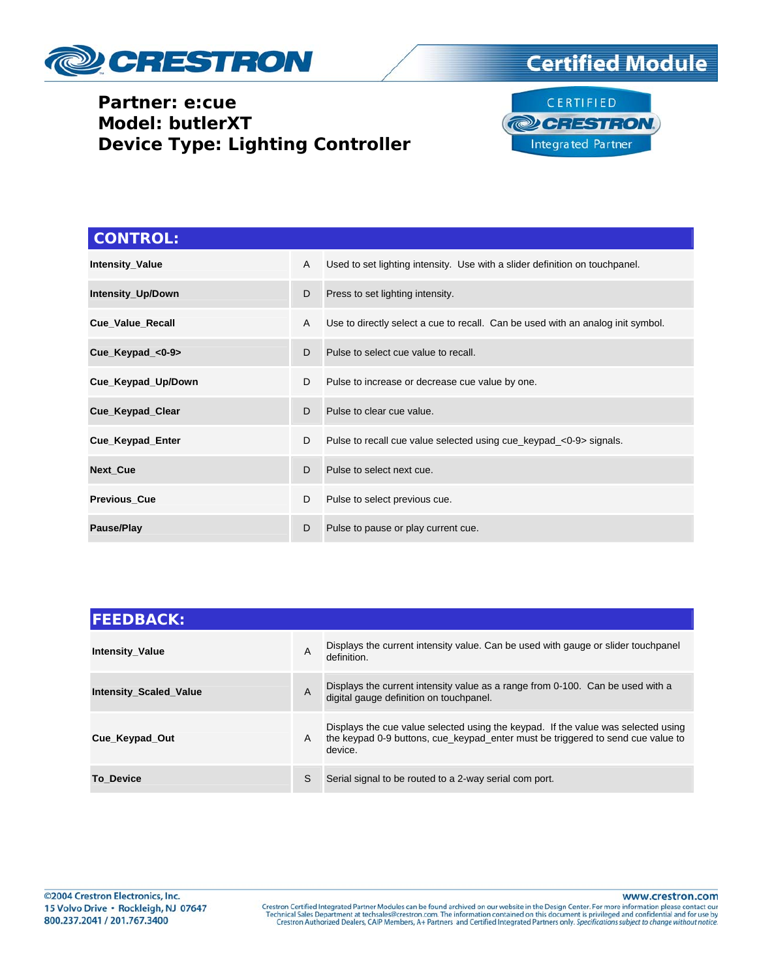

## **Partner: e:cue Model: butlerXT Device Type: Lighting Controller**





| <b>CONTROL:</b>        |   |                                                                                 |
|------------------------|---|---------------------------------------------------------------------------------|
| <b>Intensity_Value</b> | A | Used to set lighting intensity. Use with a slider definition on touchpanel.     |
| Intensity_Up/Down      | D | Press to set lighting intensity.                                                |
| Cue_Value_Recall       | A | Use to directly select a cue to recall. Can be used with an analog init symbol. |
| Cue_Keypad_<0-9>       | D | Pulse to select cue value to recall.                                            |
| Cue_Keypad_Up/Down     | D | Pulse to increase or decrease cue value by one.                                 |
| Cue_Keypad_Clear       | D | Pulse to clear cue value.                                                       |
| Cue_Keypad_Enter       | D | Pulse to recall cue value selected using cue_keypad_<0-9> signals.              |
| Next_Cue               | D | Pulse to select next cue.                                                       |
| <b>Previous Cue</b>    | D | Pulse to select previous cue.                                                   |
| Pause/Play             | D | Pulse to pause or play current cue.                                             |

| <b>FEEDBACK:</b>              |   |                                                                                                                                                                                 |  |  |
|-------------------------------|---|---------------------------------------------------------------------------------------------------------------------------------------------------------------------------------|--|--|
| <b>Intensity_Value</b>        | A | Displays the current intensity value. Can be used with gauge or slider touchpanel<br>definition.                                                                                |  |  |
| <b>Intensity_Scaled_Value</b> | A | Displays the current intensity value as a range from 0-100. Can be used with a<br>digital gauge definition on touchpanel.                                                       |  |  |
| Cue Keypad Out                | A | Displays the cue value selected using the keypad. If the value was selected using<br>the keypad 0-9 buttons, cue keypad enter must be triggered to send cue value to<br>device. |  |  |
| <b>To Device</b>              | S | Serial signal to be routed to a 2-way serial com port.                                                                                                                          |  |  |

www.crestron.com

Crestron Certified Integrated Partner Modules can be found archived on our website in the Design Center. For more information please contact our Technical Sales Department at techsales@crestron.com. The information contain